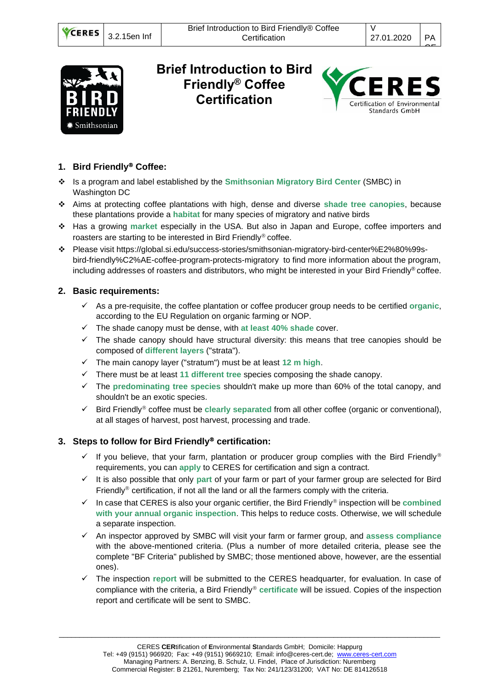

## **Brief Introduction to Bird Friendly® Coffee Certification**



## **1. Bird Friendly Coffee:**

- ❖ Is a program and label established by the **Smithsonian Migratory Bird Center** (SMBC) in Washington DC
- ❖ Aims at protecting coffee plantations with high, dense and diverse **shade tree canopies**, because these plantations provide a **habitat** for many species of migratory and native birds
- ❖ Has a growing **market** especially in the USA. But also in Japan and Europe, coffee importers and roasters are starting to be interested in Bird Friendly® coffee.
- ❖ Please visit [https://global.si.edu/success-stories/smithsonian-migratory-bird-center%E2%80%99s](https://global.si.edu/success-stories/smithsonian-migratory-bird-center%E2%80%99s-bird-friendly%C2%AE-coffee-program-protects-migratory)[bird-friendly%C2%AE-coffee-program-protects-migratory](https://global.si.edu/success-stories/smithsonian-migratory-bird-center%E2%80%99s-bird-friendly%C2%AE-coffee-program-protects-migratory) to find more information about the program, including addresses of roasters and distributors, who might be interested in your Bird Friendly® coffee.

## **2. Basic requirements:**

- ✓ As a pre-requisite, the coffee plantation or coffee producer group needs to be certified **organic**, according to the EU Regulation on organic farming or NOP.
- ✓ The shade canopy must be dense, with **at least 40% shade** cover.
- ✓ The shade canopy should have structural diversity: this means that tree canopies should be composed of **different layers** ("strata").
- ✓ The main canopy layer ("stratum") must be at least **12 m high**.
- ✓ There must be at least **11 different tree** species composing the shade canopy.
- ✓ The **predominating tree species** shouldn't make up more than 60% of the total canopy, and shouldn't be an exotic species.
- ✓ Bird Friendly coffee must be **clearly separated** from all other coffee (organic or conventional), at all stages of harvest, post harvest, processing and trade.

## **3. Steps to follow for Bird Friendly certification:**

- $\checkmark$  If you believe, that your farm, plantation or producer group complies with the Bird Friendly<sup>®</sup> requirements, you can **apply** to CERES for certification and sign a contract.
- ✓ It is also possible that only **part** of your farm or part of your farmer group are selected for Bird Friendly<sup>®</sup> certification, if not all the land or all the farmers comply with the criteria.
- $\checkmark$  In case that CERES is also your organic certifier, the Bird Friendly<sup>®</sup> inspection will be **combined with your annual organic inspection**. This helps to reduce costs. Otherwise, we will schedule a separate inspection.
- ✓ An inspector approved by SMBC will visit your farm or farmer group, and **assess compliance** with the above-mentioned criteria. (Plus a number of more detailed criteria, please see the complete "BF Criteria" published by SMBC; those mentioned above, however, are the essential ones).
- ✓ The inspection **report** will be submitted to the CERES headquarter, for evaluation. In case of compliance with the criteria, a Bird Friendly<sup>®</sup> certificate will be issued. Copies of the inspection report and certificate will be sent to SMBC.

\_\_\_\_\_\_\_\_\_\_\_\_\_\_\_\_\_\_\_\_\_\_\_\_\_\_\_\_\_\_\_\_\_\_\_\_\_\_\_\_\_\_\_\_\_\_\_\_\_\_\_\_\_\_\_\_\_\_\_\_\_\_\_\_\_\_\_\_\_\_\_\_\_\_\_\_\_\_\_\_\_\_\_\_\_\_\_\_\_\_\_\_\_